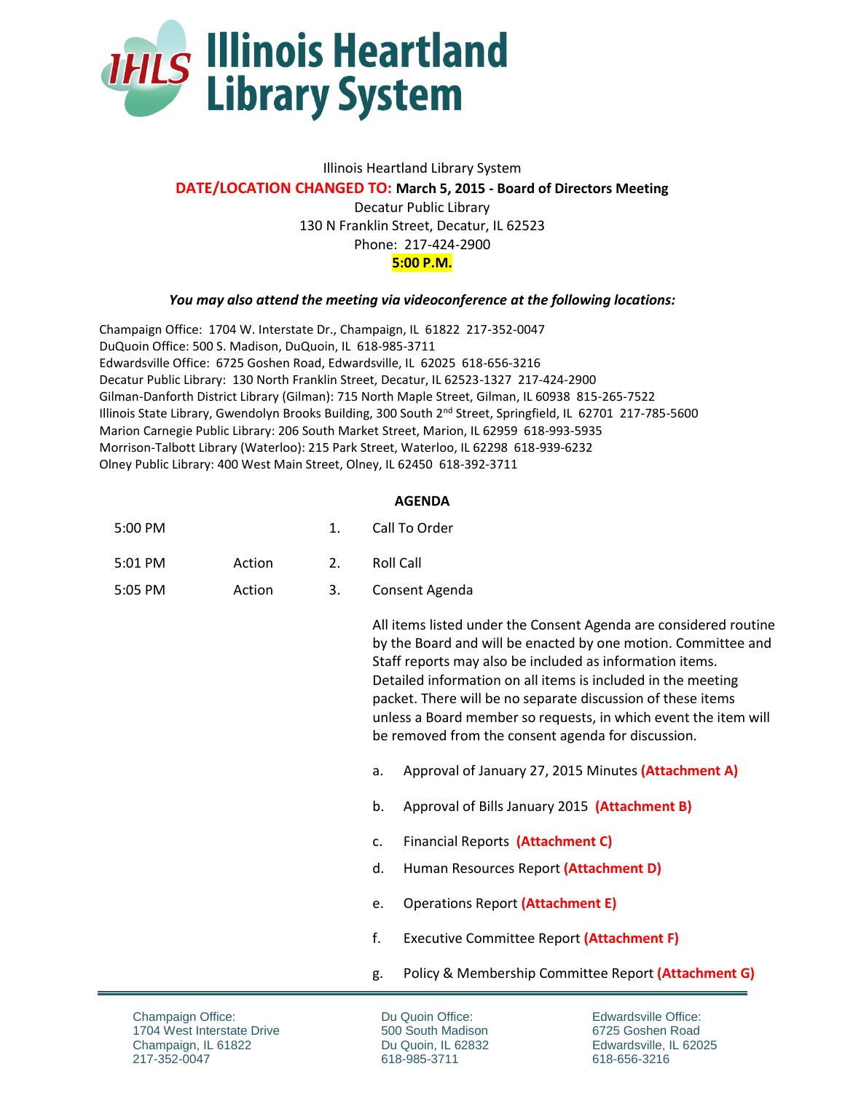

## Illinois Heartland Library System **DATE/LOCATION CHANGED TO: March 5, 2015 - Board of Directors Meeting** Decatur Public Library 130 N Franklin Street, Decatur, IL 62523 Phone: 217-424-2900 **5:00 P.M.**

## *You may also attend the meeting via videoconference at the following locations:*

Champaign Office: 1704 W. Interstate Dr., Champaign, IL 61822 217-352-0047 DuQuoin Office: 500 S. Madison, DuQuoin, IL 618-985-3711 Edwardsville Office: 6725 Goshen Road, Edwardsville, IL 62025 618-656-3216 Decatur Public Library: 130 North Franklin Street, Decatur, IL 62523-1327 217-424-2900 Gilman-Danforth District Library (Gilman): 715 North Maple Street, Gilman, IL 60938 815-265-7522 Illinois State Library, Gwendolyn Brooks Building, 300 South 2<sup>nd</sup> Street, Springfield, IL 62701 217-785-5600 Marion Carnegie Public Library: 206 South Market Street, Marion, IL 62959 618-993-5935 Morrison-Talbott Library (Waterloo): 215 Park Street, Waterloo, IL 62298 618-939-6232 Olney Public Library: 400 West Main Street, Olney, IL 62450 618-392-3711

## **AGENDA**

| 5:00 PM |        | Call To Order |
|---------|--------|---------------|
| 5:01 PM | Action | Roll Call     |

5:05 PM Action 3. Consent Agenda

> All items listed under the Consent Agenda are considered routine by the Board and will be enacted by one motion. Committee and Staff reports may also be included as information items. Detailed information on all items is included in the meeting packet. There will be no separate discussion of these items unless a Board member so requests, in which event the item will be removed from the consent agenda for discussion.

- a. Approval of January 27, 2015 Minutes **(Attachment A)**
- b. Approval of Bills January 2015 **(Attachment B)**
- c. Financial Reports **(Attachment C)**
- d. Human Resources Report **(Attachment D)**
- e. Operations Report **(Attachment E)**
- f. Executive Committee Report **(Attachment F)**
- g. Policy & Membership Committee Report **(Attachment G)**

Du Quoin Office: 500 South Madison Du Quoin, IL 62832 618-985-3711

Edwardsville Office: 6725 Goshen Road Edwardsville, IL 62025 618-656-3216